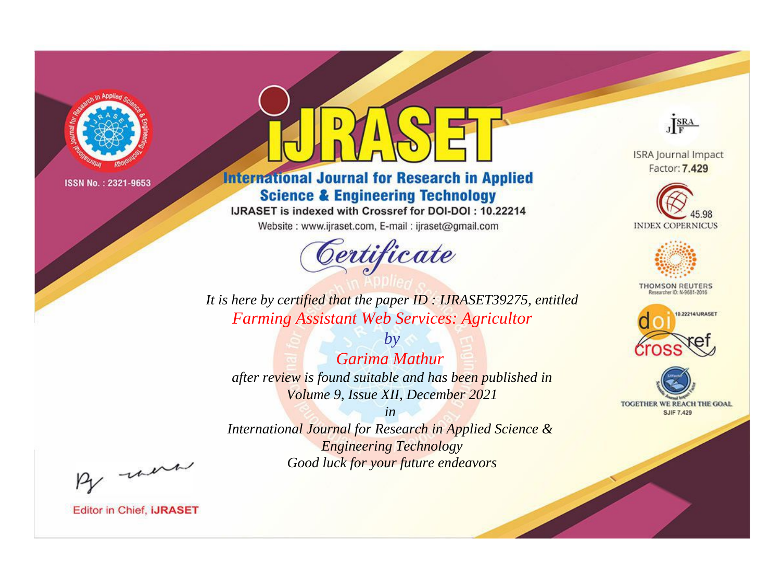

# **International Journal for Research in Applied Science & Engineering Technology**

IJRASET is indexed with Crossref for DOI-DOI: 10.22214

Website: www.ijraset.com, E-mail: ijraset@gmail.com



JERA

**ISRA Journal Impact** Factor: 7.429





**THOMSON REUTERS** 



TOGETHER WE REACH THE GOAL **SJIF 7.429** 

It is here by certified that the paper ID: IJRASET39275, entitled **Farming Assistant Web Services: Agricultor** 

 $b\nu$ Garima Mathur after review is found suitable and has been published in Volume 9, Issue XII, December 2021

 $in$ International Journal for Research in Applied Science & **Engineering Technology** Good luck for your future endeavors

By morn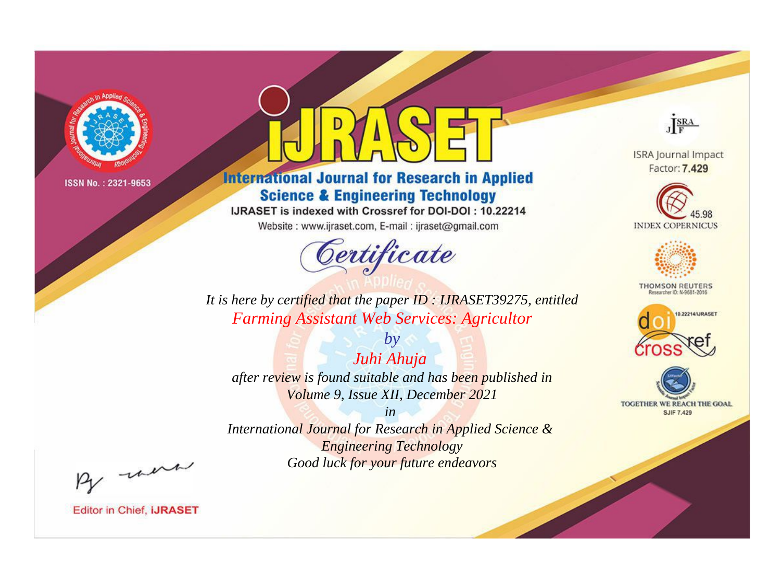

# **International Journal for Research in Applied Science & Engineering Technology**

IJRASET is indexed with Crossref for DOI-DOI: 10.22214

Website: www.ijraset.com, E-mail: ijraset@gmail.com



JERA

**ISRA Journal Impact** Factor: 7.429





**THOMSON REUTERS** 



TOGETHER WE REACH THE GOAL **SJIF 7.429** 

It is here by certified that the paper ID: IJRASET39275, entitled **Farming Assistant Web Services: Agricultor** 

Juhi Ahuja after review is found suitable and has been published in Volume 9, Issue XII, December 2021

 $by$ 

 $in$ International Journal for Research in Applied Science & **Engineering Technology** Good luck for your future endeavors

By morn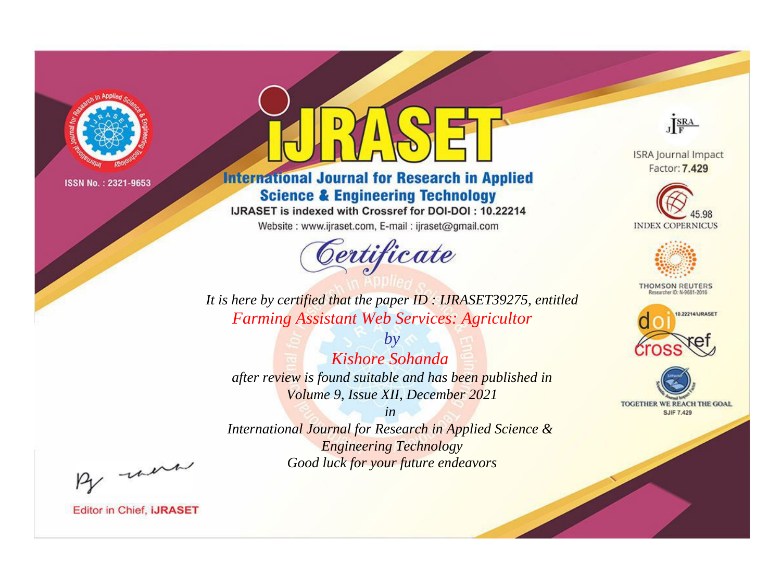

# **International Journal for Research in Applied Science & Engineering Technology**

IJRASET is indexed with Crossref for DOI-DOI: 10.22214

Website: www.ijraset.com, E-mail: ijraset@gmail.com



JERA

**ISRA Journal Impact** Factor: 7.429





**THOMSON REUTERS** 



TOGETHER WE REACH THE GOAL **SJIF 7.429** 

It is here by certified that the paper ID: IJRASET39275, entitled **Farming Assistant Web Services: Agricultor** 

 $b\nu$ Kishore Sohanda after review is found suitable and has been published in Volume 9, Issue XII, December 2021

 $in$ International Journal for Research in Applied Science & **Engineering Technology** Good luck for your future endeavors

By morn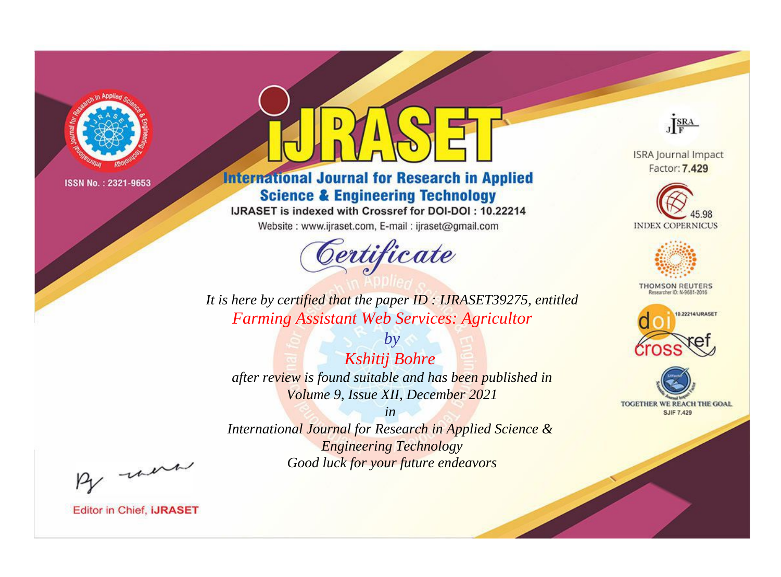

# **International Journal for Research in Applied Science & Engineering Technology**

IJRASET is indexed with Crossref for DOI-DOI: 10.22214

Website: www.ijraset.com, E-mail: ijraset@gmail.com



JERA

**ISRA Journal Impact** Factor: 7.429





**THOMSON REUTERS** 



TOGETHER WE REACH THE GOAL **SJIF 7.429** 

It is here by certified that the paper ID: IJRASET39275, entitled **Farming Assistant Web Services: Agricultor** 

 $by$ **Kshitij Bohre** after review is found suitable and has been published in Volume 9, Issue XII, December 2021

 $in$ International Journal for Research in Applied Science & **Engineering Technology** Good luck for your future endeavors

By morn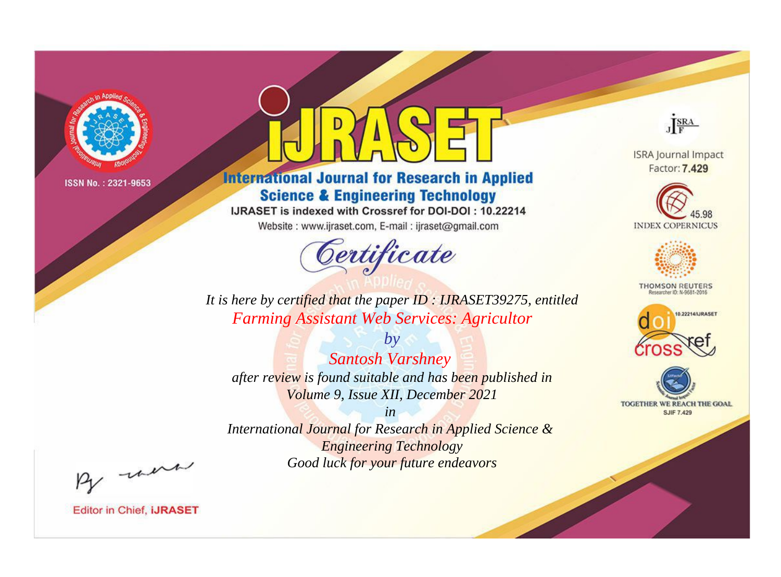

# **International Journal for Research in Applied Science & Engineering Technology**

IJRASET is indexed with Crossref for DOI-DOI: 10.22214

Website: www.ijraset.com, E-mail: ijraset@gmail.com



JERA

**ISRA Journal Impact** Factor: 7.429





**THOMSON REUTERS** 



TOGETHER WE REACH THE GOAL **SJIF 7.429** 

It is here by certified that the paper ID: IJRASET39275, entitled **Farming Assistant Web Services: Agricultor** 

 $by$ **Santosh Varshney** after review is found suitable and has been published in Volume 9, Issue XII, December 2021

 $in$ International Journal for Research in Applied Science & **Engineering Technology** Good luck for your future endeavors

By morn